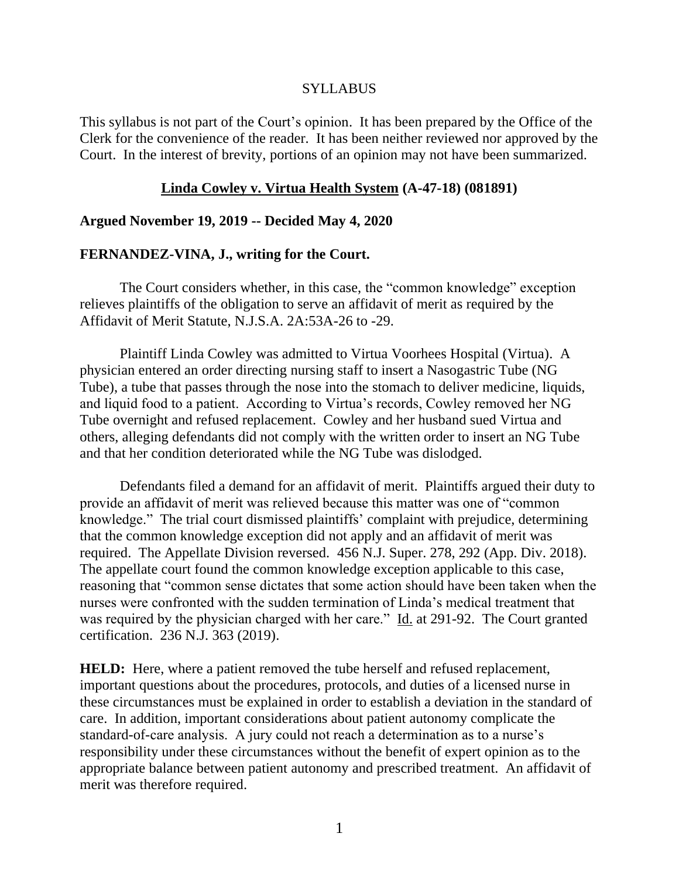# SYLLABUS

This syllabus is not part of the Court's opinion. It has been prepared by the Office of the Clerk for the convenience of the reader. It has been neither reviewed nor approved by the Court. In the interest of brevity, portions of an opinion may not have been summarized.

## **Linda Cowley v. Virtua Health System (A-47-18) (081891)**

# **Argued November 19, 2019 -- Decided May 4, 2020**

## **FERNANDEZ-VINA, J., writing for the Court.**

The Court considers whether, in this case, the "common knowledge" exception relieves plaintiffs of the obligation to serve an affidavit of merit as required by the Affidavit of Merit Statute, N.J.S.A. 2A:53A-26 to -29.

Plaintiff Linda Cowley was admitted to Virtua Voorhees Hospital (Virtua). A physician entered an order directing nursing staff to insert a Nasogastric Tube (NG Tube), a tube that passes through the nose into the stomach to deliver medicine, liquids, and liquid food to a patient. According to Virtua's records, Cowley removed her NG Tube overnight and refused replacement. Cowley and her husband sued Virtua and others, alleging defendants did not comply with the written order to insert an NG Tube and that her condition deteriorated while the NG Tube was dislodged.

Defendants filed a demand for an affidavit of merit. Plaintiffs argued their duty to provide an affidavit of merit was relieved because this matter was one of "common knowledge." The trial court dismissed plaintiffs' complaint with prejudice, determining that the common knowledge exception did not apply and an affidavit of merit was required. The Appellate Division reversed. 456 N.J. Super. 278, 292 (App. Div. 2018). The appellate court found the common knowledge exception applicable to this case, reasoning that "common sense dictates that some action should have been taken when the nurses were confronted with the sudden termination of Linda's medical treatment that was required by the physician charged with her care." Id. at 291-92. The Court granted certification. 236 N.J. 363 (2019).

**HELD:** Here, where a patient removed the tube herself and refused replacement, important questions about the procedures, protocols, and duties of a licensed nurse in these circumstances must be explained in order to establish a deviation in the standard of care. In addition, important considerations about patient autonomy complicate the standard-of-care analysis. A jury could not reach a determination as to a nurse's responsibility under these circumstances without the benefit of expert opinion as to the appropriate balance between patient autonomy and prescribed treatment. An affidavit of merit was therefore required.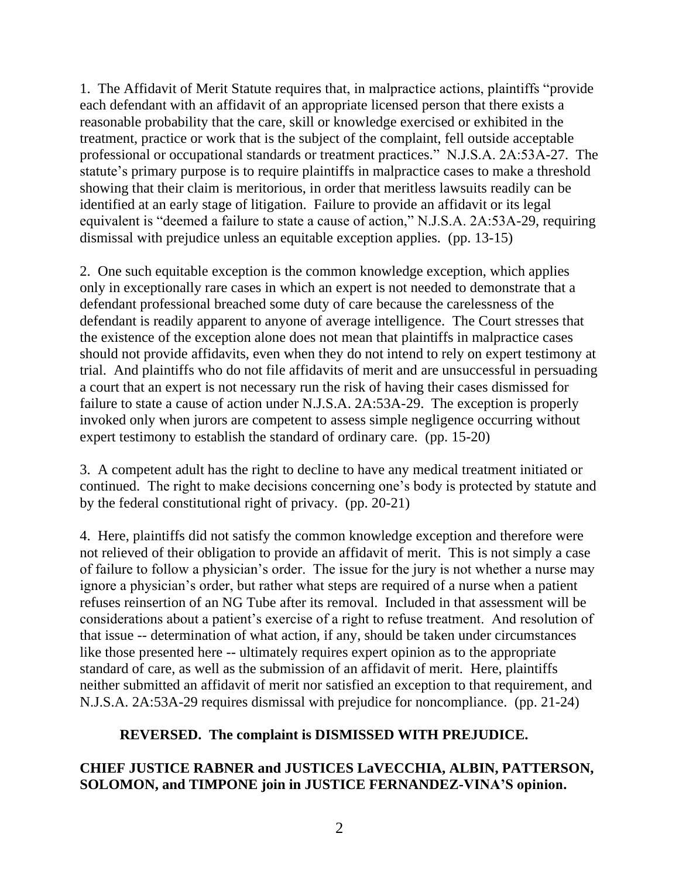1. The Affidavit of Merit Statute requires that, in malpractice actions, plaintiffs "provide each defendant with an affidavit of an appropriate licensed person that there exists a reasonable probability that the care, skill or knowledge exercised or exhibited in the treatment, practice or work that is the subject of the complaint, fell outside acceptable professional or occupational standards or treatment practices." N.J.S.A. 2A:53A-27. The statute's primary purpose is to require plaintiffs in malpractice cases to make a threshold showing that their claim is meritorious, in order that meritless lawsuits readily can be identified at an early stage of litigation. Failure to provide an affidavit or its legal equivalent is "deemed a failure to state a cause of action," N.J.S.A. 2A:53A-29, requiring dismissal with prejudice unless an equitable exception applies. (pp. 13-15)

2. One such equitable exception is the common knowledge exception, which applies only in exceptionally rare cases in which an expert is not needed to demonstrate that a defendant professional breached some duty of care because the carelessness of the defendant is readily apparent to anyone of average intelligence. The Court stresses that the existence of the exception alone does not mean that plaintiffs in malpractice cases should not provide affidavits, even when they do not intend to rely on expert testimony at trial. And plaintiffs who do not file affidavits of merit and are unsuccessful in persuading a court that an expert is not necessary run the risk of having their cases dismissed for failure to state a cause of action under N.J.S.A. 2A:53A-29. The exception is properly invoked only when jurors are competent to assess simple negligence occurring without expert testimony to establish the standard of ordinary care. (pp. 15-20)

3. A competent adult has the right to decline to have any medical treatment initiated or continued. The right to make decisions concerning one's body is protected by statute and by the federal constitutional right of privacy. (pp. 20-21)

4. Here, plaintiffs did not satisfy the common knowledge exception and therefore were not relieved of their obligation to provide an affidavit of merit. This is not simply a case of failure to follow a physician's order. The issue for the jury is not whether a nurse may ignore a physician's order, but rather what steps are required of a nurse when a patient refuses reinsertion of an NG Tube after its removal. Included in that assessment will be considerations about a patient's exercise of a right to refuse treatment. And resolution of that issue -- determination of what action, if any, should be taken under circumstances like those presented here -- ultimately requires expert opinion as to the appropriate standard of care, as well as the submission of an affidavit of merit. Here, plaintiffs neither submitted an affidavit of merit nor satisfied an exception to that requirement, and N.J.S.A. 2A:53A-29 requires dismissal with prejudice for noncompliance. (pp. 21-24)

# **REVERSED. The complaint is DISMISSED WITH PREJUDICE.**

# **CHIEF JUSTICE RABNER and JUSTICES LaVECCHIA, ALBIN, PATTERSON, SOLOMON, and TIMPONE join in JUSTICE FERNANDEZ-VINA'S opinion.**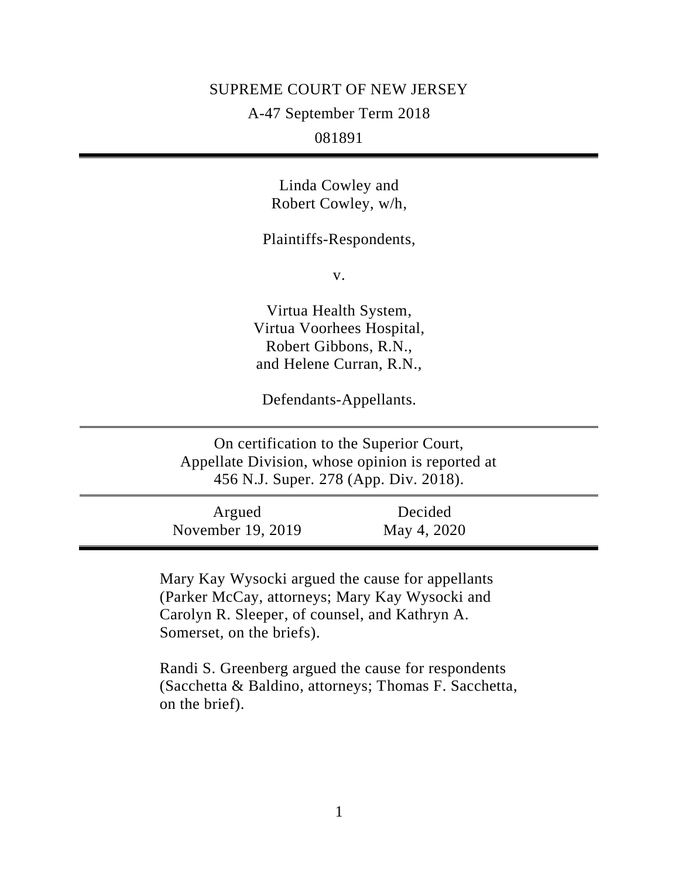#### SUPREME COURT OF NEW JERSEY

A-47 September Term 2018

081891

Linda Cowley and Robert Cowley, w/h,

Plaintiffs-Respondents,

v.

Virtua Health System, Virtua Voorhees Hospital, Robert Gibbons, R.N., and Helene Curran, R.N.,

Defendants-Appellants.

On certification to the Superior Court, Appellate Division, whose opinion is reported at 456 N.J. Super. 278 (App. Div. 2018).

Argued November 19, 2019 Decided May 4, 2020

Mary Kay Wysocki argued the cause for appellants (Parker McCay, attorneys; Mary Kay Wysocki and Carolyn R. Sleeper, of counsel, and Kathryn A. Somerset, on the briefs).

Randi S. Greenberg argued the cause for respondents (Sacchetta & Baldino, attorneys; Thomas F. Sacchetta, on the brief).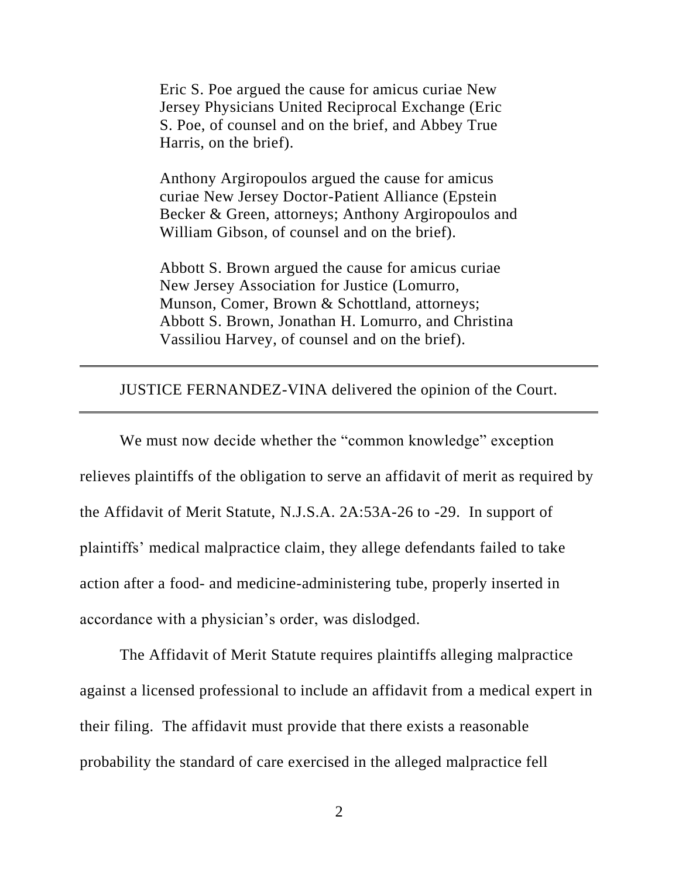Eric S. Poe argued the cause for amicus curiae New Jersey Physicians United Reciprocal Exchange (Eric S. Poe, of counsel and on the brief, and Abbey True Harris, on the brief).

Anthony Argiropoulos argued the cause for amicus curiae New Jersey Doctor-Patient Alliance (Epstein Becker & Green, attorneys; Anthony Argiropoulos and William Gibson, of counsel and on the brief).

Abbott S. Brown argued the cause for amicus curiae New Jersey Association for Justice (Lomurro, Munson, Comer, Brown & Schottland, attorneys; Abbott S. Brown, Jonathan H. Lomurro, and Christina Vassiliou Harvey, of counsel and on the brief).

## JUSTICE FERNANDEZ-VINA delivered the opinion of the Court.

We must now decide whether the "common knowledge" exception relieves plaintiffs of the obligation to serve an affidavit of merit as required by the Affidavit of Merit Statute, N.J.S.A. 2A:53A-26 to -29. In support of plaintiffs' medical malpractice claim, they allege defendants failed to take action after a food- and medicine-administering tube, properly inserted in accordance with a physician's order, was dislodged.

The Affidavit of Merit Statute requires plaintiffs alleging malpractice against a licensed professional to include an affidavit from a medical expert in their filing. The affidavit must provide that there exists a reasonable probability the standard of care exercised in the alleged malpractice fell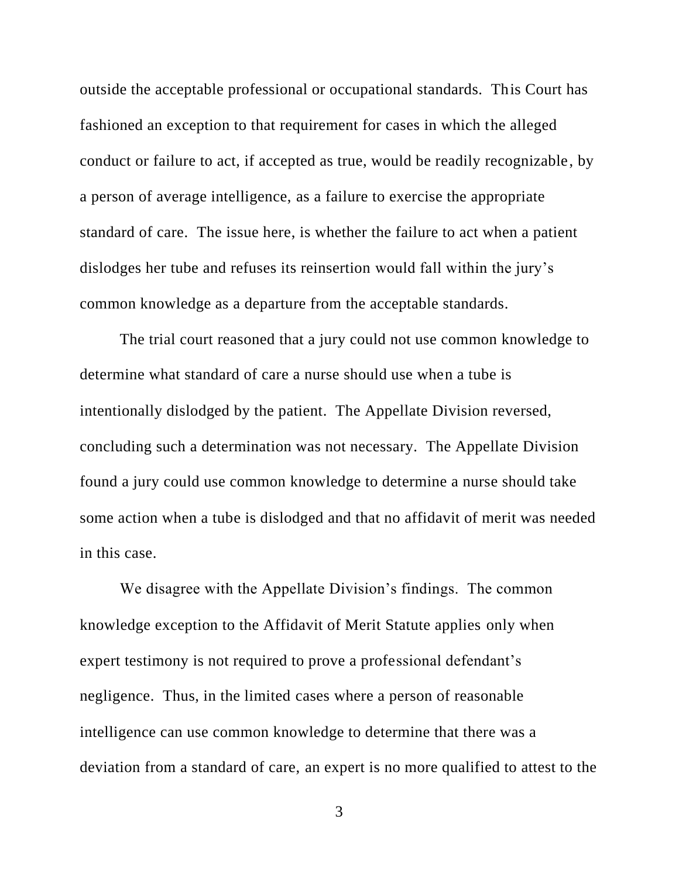outside the acceptable professional or occupational standards. This Court has fashioned an exception to that requirement for cases in which the alleged conduct or failure to act, if accepted as true, would be readily recognizable, by a person of average intelligence, as a failure to exercise the appropriate standard of care. The issue here, is whether the failure to act when a patient dislodges her tube and refuses its reinsertion would fall within the jury's common knowledge as a departure from the acceptable standards.

The trial court reasoned that a jury could not use common knowledge to determine what standard of care a nurse should use when a tube is intentionally dislodged by the patient. The Appellate Division reversed, concluding such a determination was not necessary. The Appellate Division found a jury could use common knowledge to determine a nurse should take some action when a tube is dislodged and that no affidavit of merit was needed in this case.

We disagree with the Appellate Division's findings. The common knowledge exception to the Affidavit of Merit Statute applies only when expert testimony is not required to prove a professional defendant's negligence. Thus, in the limited cases where a person of reasonable intelligence can use common knowledge to determine that there was a deviation from a standard of care, an expert is no more qualified to attest to the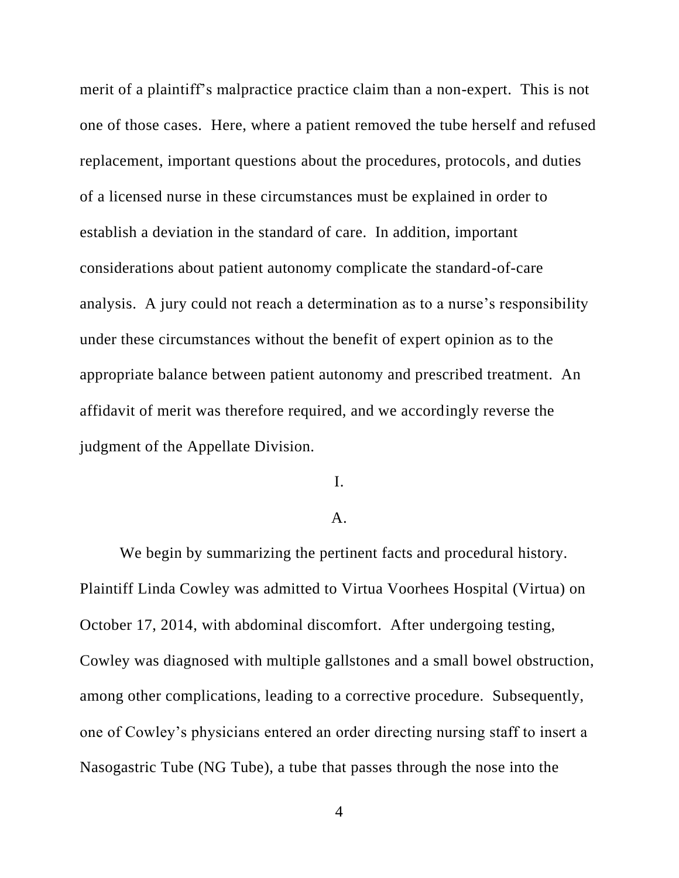merit of a plaintiff's malpractice practice claim than a non-expert. This is not one of those cases. Here, where a patient removed the tube herself and refused replacement, important questions about the procedures, protocols, and duties of a licensed nurse in these circumstances must be explained in order to establish a deviation in the standard of care. In addition, important considerations about patient autonomy complicate the standard-of-care analysis. A jury could not reach a determination as to a nurse's responsibility under these circumstances without the benefit of expert opinion as to the appropriate balance between patient autonomy and prescribed treatment. An affidavit of merit was therefore required, and we accordingly reverse the judgment of the Appellate Division.

# I.

#### A.

We begin by summarizing the pertinent facts and procedural history. Plaintiff Linda Cowley was admitted to Virtua Voorhees Hospital (Virtua) on October 17, 2014, with abdominal discomfort. After undergoing testing, Cowley was diagnosed with multiple gallstones and a small bowel obstruction, among other complications, leading to a corrective procedure. Subsequently, one of Cowley's physicians entered an order directing nursing staff to insert a Nasogastric Tube (NG Tube), a tube that passes through the nose into the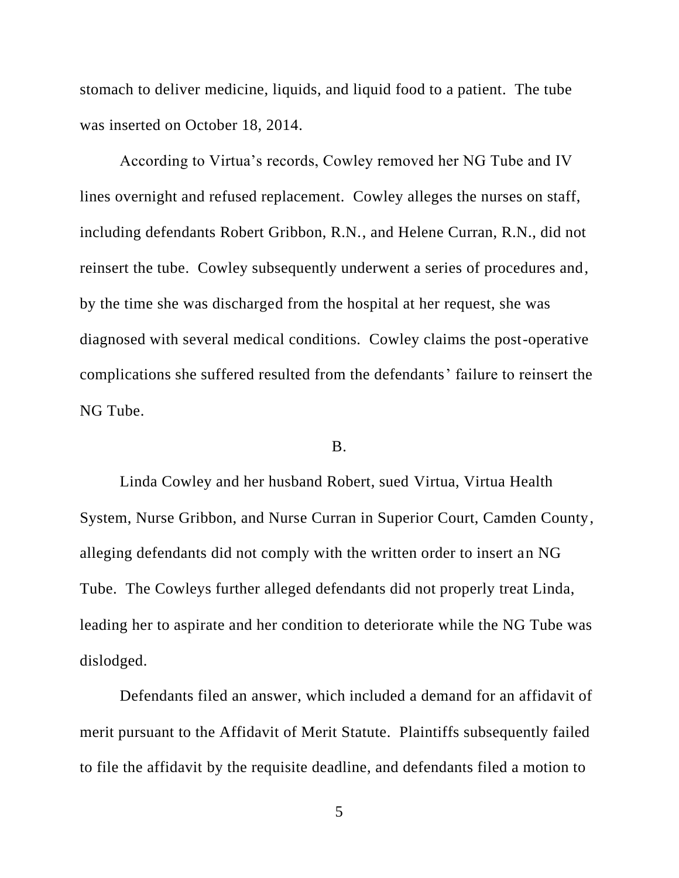stomach to deliver medicine, liquids, and liquid food to a patient. The tube was inserted on October 18, 2014.

According to Virtua's records, Cowley removed her NG Tube and IV lines overnight and refused replacement. Cowley alleges the nurses on staff, including defendants Robert Gribbon, R.N., and Helene Curran, R.N., did not reinsert the tube. Cowley subsequently underwent a series of procedures and, by the time she was discharged from the hospital at her request, she was diagnosed with several medical conditions. Cowley claims the post-operative complications she suffered resulted from the defendants' failure to reinsert the NG Tube.

## B.

Linda Cowley and her husband Robert, sued Virtua, Virtua Health System, Nurse Gribbon, and Nurse Curran in Superior Court, Camden County, alleging defendants did not comply with the written order to insert an NG Tube. The Cowleys further alleged defendants did not properly treat Linda, leading her to aspirate and her condition to deteriorate while the NG Tube was dislodged.

Defendants filed an answer, which included a demand for an affidavit of merit pursuant to the Affidavit of Merit Statute. Plaintiffs subsequently failed to file the affidavit by the requisite deadline, and defendants filed a motion to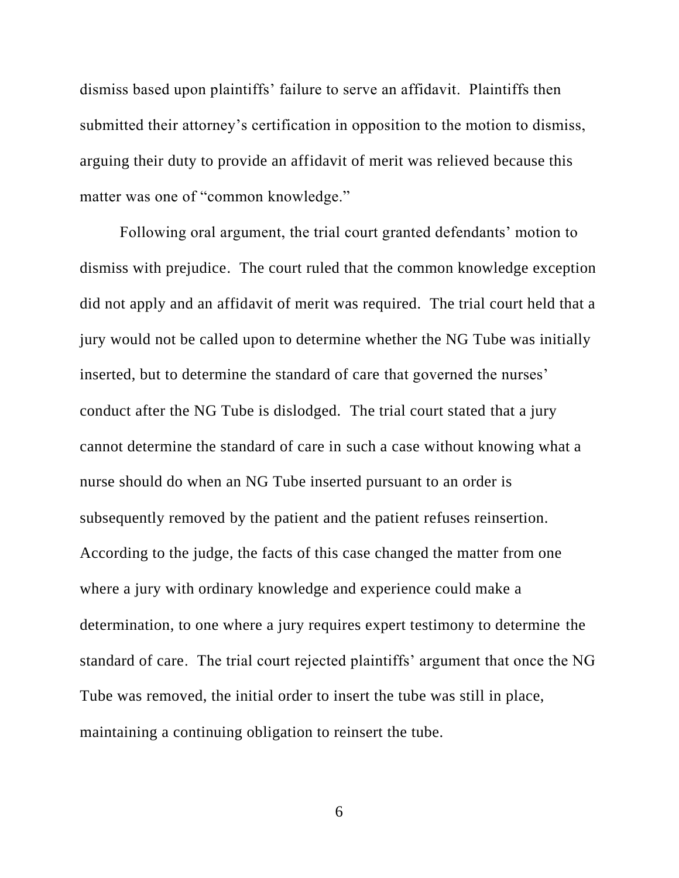dismiss based upon plaintiffs' failure to serve an affidavit. Plaintiffs then submitted their attorney's certification in opposition to the motion to dismiss, arguing their duty to provide an affidavit of merit was relieved because this matter was one of "common knowledge."

Following oral argument, the trial court granted defendants' motion to dismiss with prejudice. The court ruled that the common knowledge exception did not apply and an affidavit of merit was required. The trial court held that a jury would not be called upon to determine whether the NG Tube was initially inserted, but to determine the standard of care that governed the nurses' conduct after the NG Tube is dislodged. The trial court stated that a jury cannot determine the standard of care in such a case without knowing what a nurse should do when an NG Tube inserted pursuant to an order is subsequently removed by the patient and the patient refuses reinsertion. According to the judge, the facts of this case changed the matter from one where a jury with ordinary knowledge and experience could make a determination, to one where a jury requires expert testimony to determine the standard of care. The trial court rejected plaintiffs' argument that once the NG Tube was removed, the initial order to insert the tube was still in place, maintaining a continuing obligation to reinsert the tube.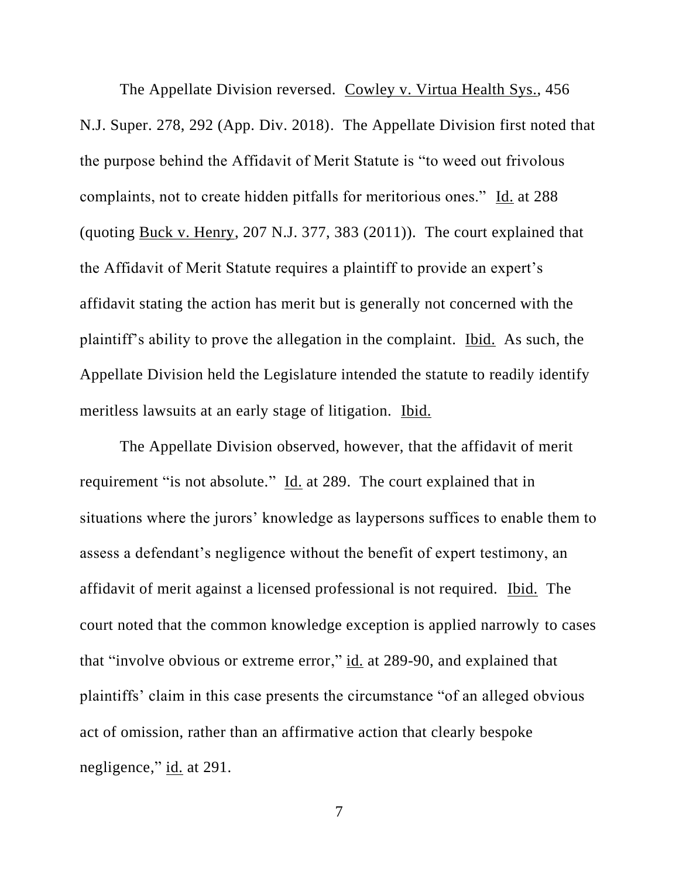The Appellate Division reversed. Cowley v. Virtua Health Sys., 456 N.J. Super. 278, 292 (App. Div. 2018). The Appellate Division first noted that the purpose behind the Affidavit of Merit Statute is "to weed out frivolous complaints, not to create hidden pitfalls for meritorious ones." Id. at 288 (quoting Buck v. Henry, 207 N.J. 377, 383 (2011)). The court explained that the Affidavit of Merit Statute requires a plaintiff to provide an expert's affidavit stating the action has merit but is generally not concerned with the plaintiff's ability to prove the allegation in the complaint. Ibid. As such, the Appellate Division held the Legislature intended the statute to readily identify meritless lawsuits at an early stage of litigation. Ibid.

The Appellate Division observed, however, that the affidavit of merit requirement "is not absolute." Id. at 289. The court explained that in situations where the jurors' knowledge as laypersons suffices to enable them to assess a defendant's negligence without the benefit of expert testimony, an affidavit of merit against a licensed professional is not required. Ibid. The court noted that the common knowledge exception is applied narrowly to cases that "involve obvious or extreme error," id. at 289-90, and explained that plaintiffs' claim in this case presents the circumstance "of an alleged obvious act of omission, rather than an affirmative action that clearly bespoke negligence," id. at 291.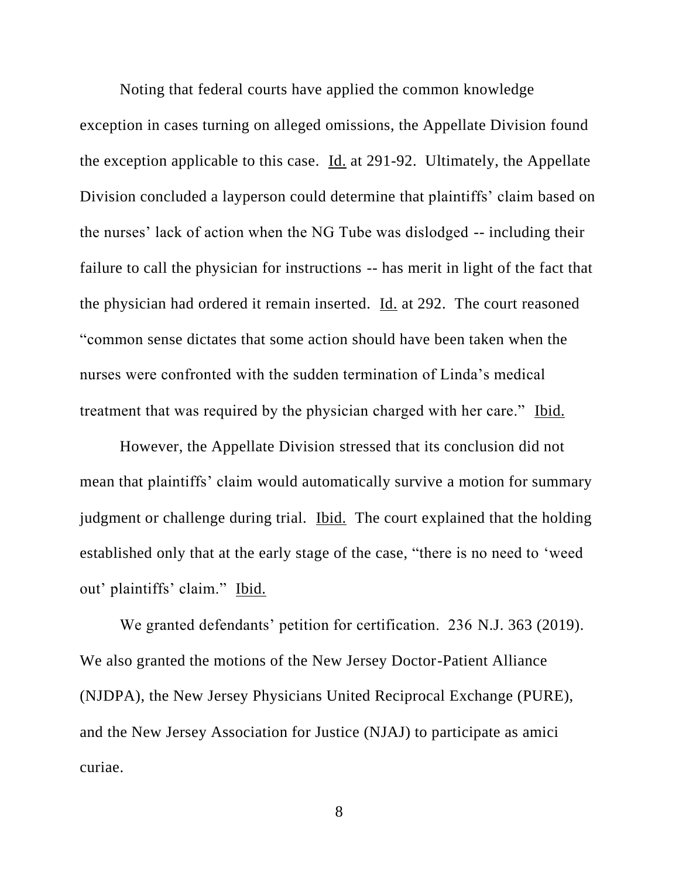Noting that federal courts have applied the common knowledge exception in cases turning on alleged omissions, the Appellate Division found the exception applicable to this case. Id. at 291-92. Ultimately, the Appellate Division concluded a layperson could determine that plaintiffs' claim based on the nurses' lack of action when the NG Tube was dislodged -- including their failure to call the physician for instructions -- has merit in light of the fact that the physician had ordered it remain inserted. Id. at 292. The court reasoned "common sense dictates that some action should have been taken when the nurses were confronted with the sudden termination of Linda's medical treatment that was required by the physician charged with her care." Ibid.

However, the Appellate Division stressed that its conclusion did not mean that plaintiffs' claim would automatically survive a motion for summary judgment or challenge during trial. Ibid. The court explained that the holding established only that at the early stage of the case, "there is no need to 'weed out' plaintiffs' claim." Ibid.

We granted defendants' petition for certification. 236 N.J. 363 (2019). We also granted the motions of the New Jersey Doctor-Patient Alliance (NJDPA), the New Jersey Physicians United Reciprocal Exchange (PURE), and the New Jersey Association for Justice (NJAJ) to participate as amici curiae.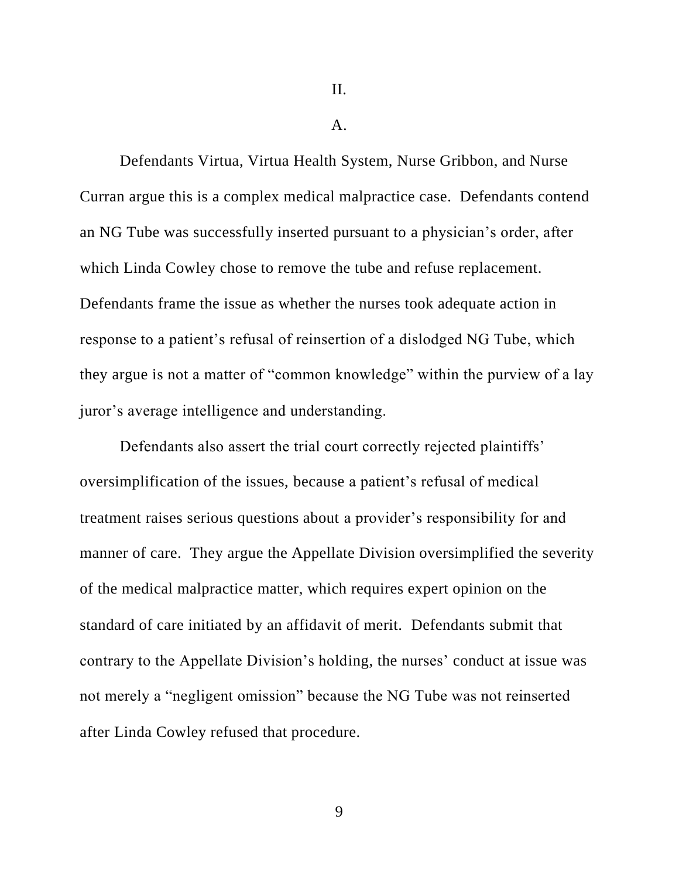$A<sub>1</sub>$ 

Defendants Virtua, Virtua Health System, Nurse Gribbon, and Nurse Curran argue this is a complex medical malpractice case. Defendants contend an NG Tube was successfully inserted pursuant to a physician's order, after which Linda Cowley chose to remove the tube and refuse replacement. Defendants frame the issue as whether the nurses took adequate action in response to a patient's refusal of reinsertion of a dislodged NG Tube, which they argue is not a matter of "common knowledge" within the purview of a lay juror's average intelligence and understanding.

Defendants also assert the trial court correctly rejected plaintiffs' oversimplification of the issues, because a patient's refusal of medical treatment raises serious questions about a provider's responsibility for and manner of care. They argue the Appellate Division oversimplified the severity of the medical malpractice matter, which requires expert opinion on the standard of care initiated by an affidavit of merit. Defendants submit that contrary to the Appellate Division's holding, the nurses' conduct at issue was not merely a "negligent omission" because the NG Tube was not reinserted after Linda Cowley refused that procedure.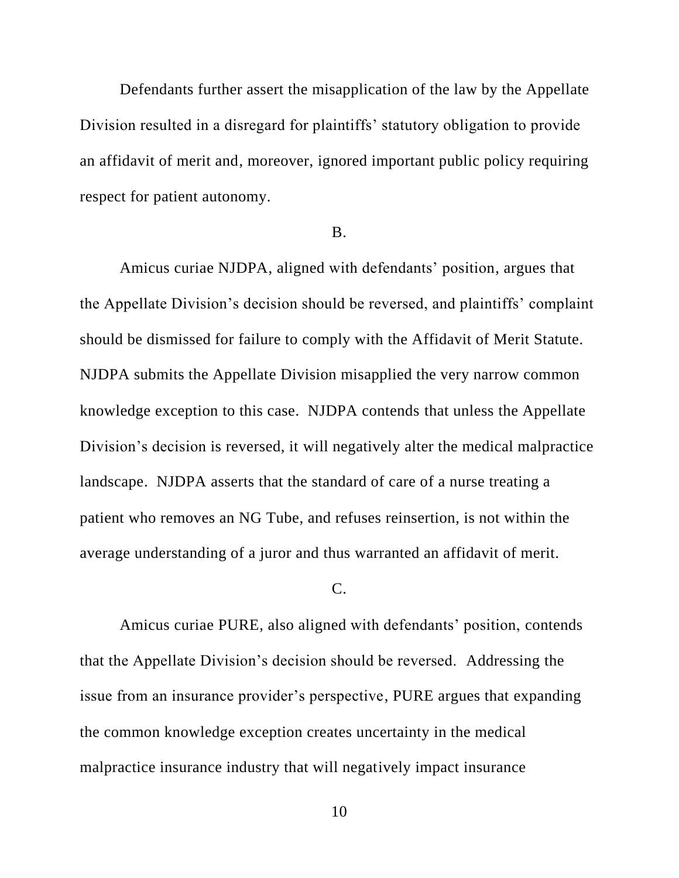Defendants further assert the misapplication of the law by the Appellate Division resulted in a disregard for plaintiffs' statutory obligation to provide an affidavit of merit and, moreover, ignored important public policy requiring respect for patient autonomy.

#### B.

Amicus curiae NJDPA, aligned with defendants' position, argues that the Appellate Division's decision should be reversed, and plaintiffs' complaint should be dismissed for failure to comply with the Affidavit of Merit Statute. NJDPA submits the Appellate Division misapplied the very narrow common knowledge exception to this case. NJDPA contends that unless the Appellate Division's decision is reversed, it will negatively alter the medical malpractice landscape. NJDPA asserts that the standard of care of a nurse treating a patient who removes an NG Tube, and refuses reinsertion, is not within the average understanding of a juror and thus warranted an affidavit of merit.

#### C.

Amicus curiae PURE, also aligned with defendants' position, contends that the Appellate Division's decision should be reversed. Addressing the issue from an insurance provider's perspective, PURE argues that expanding the common knowledge exception creates uncertainty in the medical malpractice insurance industry that will negatively impact insurance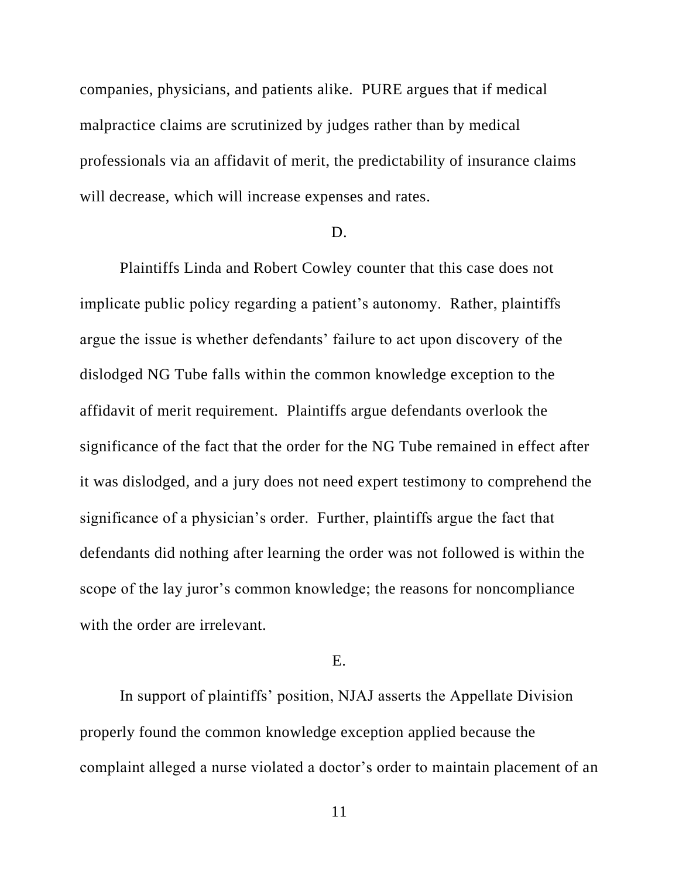companies, physicians, and patients alike. PURE argues that if medical malpractice claims are scrutinized by judges rather than by medical professionals via an affidavit of merit, the predictability of insurance claims will decrease, which will increase expenses and rates.

#### D.

Plaintiffs Linda and Robert Cowley counter that this case does not implicate public policy regarding a patient's autonomy. Rather, plaintiffs argue the issue is whether defendants' failure to act upon discovery of the dislodged NG Tube falls within the common knowledge exception to the affidavit of merit requirement. Plaintiffs argue defendants overlook the significance of the fact that the order for the NG Tube remained in effect after it was dislodged, and a jury does not need expert testimony to comprehend the significance of a physician's order. Further, plaintiffs argue the fact that defendants did nothing after learning the order was not followed is within the scope of the lay juror's common knowledge; the reasons for noncompliance with the order are irrelevant.

# E.

In support of plaintiffs' position, NJAJ asserts the Appellate Division properly found the common knowledge exception applied because the complaint alleged a nurse violated a doctor's order to maintain placement of an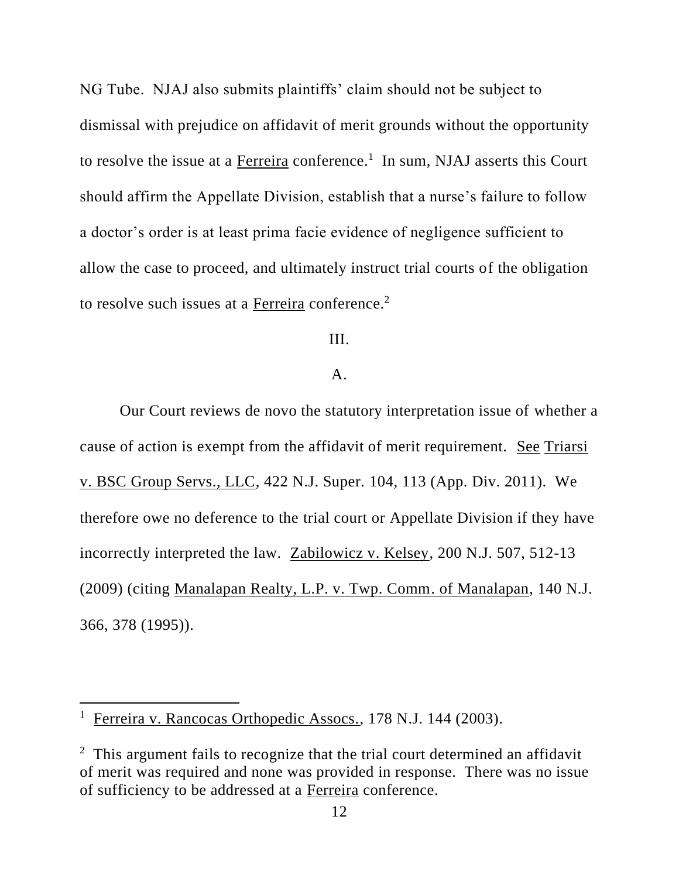NG Tube. NJAJ also submits plaintiffs' claim should not be subject to dismissal with prejudice on affidavit of merit grounds without the opportunity to resolve the issue at a  $Ferreira$  conference.<sup>1</sup> In sum, NJAJ asserts this Court should affirm the Appellate Division, establish that a nurse's failure to follow a doctor's order is at least prima facie evidence of negligence sufficient to allow the case to proceed, and ultimately instruct trial courts of the obligation to resolve such issues at a Ferreira conference.<sup>2</sup>

III.

# A.

Our Court reviews de novo the statutory interpretation issue of whether a cause of action is exempt from the affidavit of merit requirement. See Triarsi v. BSC Group Servs., LLC, 422 N.J. Super. 104, 113 (App. Div. 2011). We therefore owe no deference to the trial court or Appellate Division if they have incorrectly interpreted the law. Zabilowicz v. Kelsey, 200 N.J. 507, 512-13 (2009) (citing Manalapan Realty, L.P. v. Twp. Comm. of Manalapan, 140 N.J. 366, 378 (1995)).

<sup>&</sup>lt;sup>1</sup> Ferreira v. Rancocas Orthopedic Assocs., 178 N.J. 144 (2003).

<sup>&</sup>lt;sup>2</sup> This argument fails to recognize that the trial court determined an affidavit of merit was required and none was provided in response. There was no issue of sufficiency to be addressed at a Ferreira conference.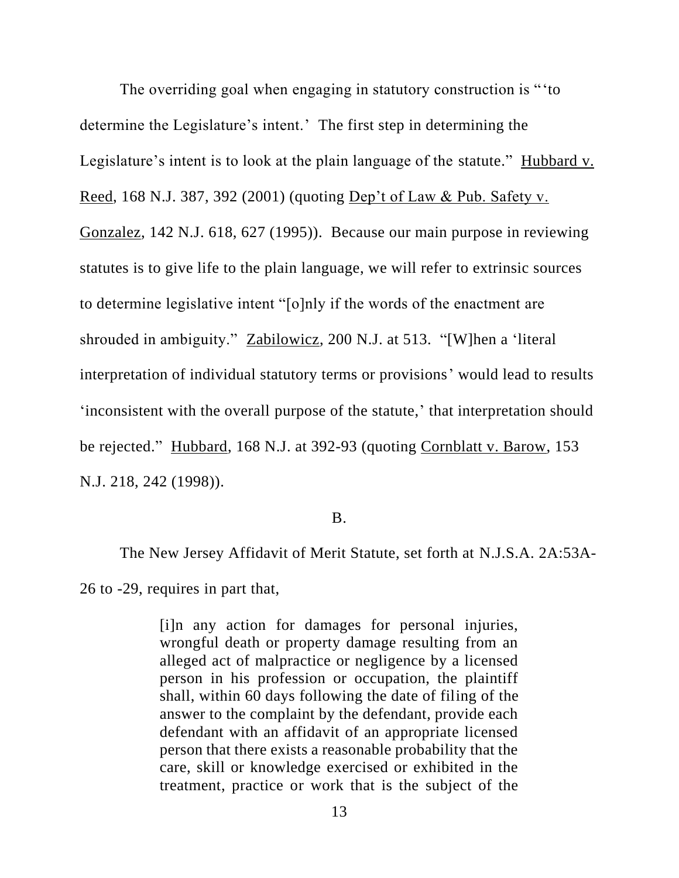The overriding goal when engaging in statutory construction is "'to determine the Legislature's intent.' The first step in determining the Legislature's intent is to look at the plain language of the statute." Hubbard v. Reed, 168 N.J. 387, 392 (2001) (quoting Dep't of Law & Pub. Safety v. Gonzalez, 142 N.J. 618, 627 (1995)). Because our main purpose in reviewing statutes is to give life to the plain language, we will refer to extrinsic sources to determine legislative intent "[o]nly if the words of the enactment are shrouded in ambiguity." Zabilowicz, 200 N.J. at 513. "[W]hen a 'literal interpretation of individual statutory terms or provisions' would lead to results 'inconsistent with the overall purpose of the statute,' that interpretation should be rejected." Hubbard, 168 N.J. at 392-93 (quoting Cornblatt v. Barow, 153 N.J. 218, 242 (1998)).

#### B.

The New Jersey Affidavit of Merit Statute, set forth at N.J.S.A. 2A:53A-26 to -29, requires in part that,

> [i]n any action for damages for personal injuries, wrongful death or property damage resulting from an alleged act of malpractice or negligence by a licensed person in his profession or occupation, the plaintiff shall, within 60 days following the date of filing of the answer to the complaint by the defendant, provide each defendant with an affidavit of an appropriate licensed person that there exists a reasonable probability that the care, skill or knowledge exercised or exhibited in the treatment, practice or work that is the subject of the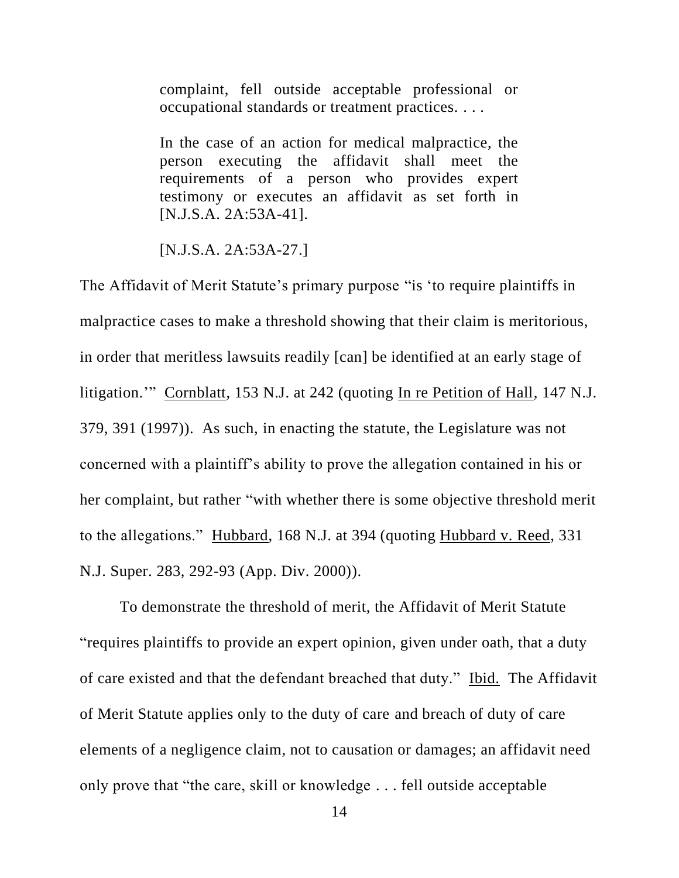complaint, fell outside acceptable professional or occupational standards or treatment practices. . . .

In the case of an action for medical malpractice, the person executing the affidavit shall meet the requirements of a person who provides expert testimony or executes an affidavit as set forth in [N.J.S.A. 2A:53A-41].

[N.J.S.A. 2A:53A-27.]

The Affidavit of Merit Statute's primary purpose "is 'to require plaintiffs in malpractice cases to make a threshold showing that their claim is meritorious, in order that meritless lawsuits readily [can] be identified at an early stage of litigation.'" Cornblatt, 153 N.J. at 242 (quoting In re Petition of Hall, 147 N.J. 379, 391 (1997)). As such, in enacting the statute, the Legislature was not concerned with a plaintiff's ability to prove the allegation contained in his or her complaint, but rather "with whether there is some objective threshold merit to the allegations." Hubbard, 168 N.J. at 394 (quoting Hubbard v. Reed, 331 N.J. Super. 283, 292-93 (App. Div. 2000)).

To demonstrate the threshold of merit, the Affidavit of Merit Statute "requires plaintiffs to provide an expert opinion, given under oath, that a duty of care existed and that the defendant breached that duty." Ibid. The Affidavit of Merit Statute applies only to the duty of care and breach of duty of care elements of a negligence claim, not to causation or damages; an affidavit need only prove that "the care, skill or knowledge . . . fell outside acceptable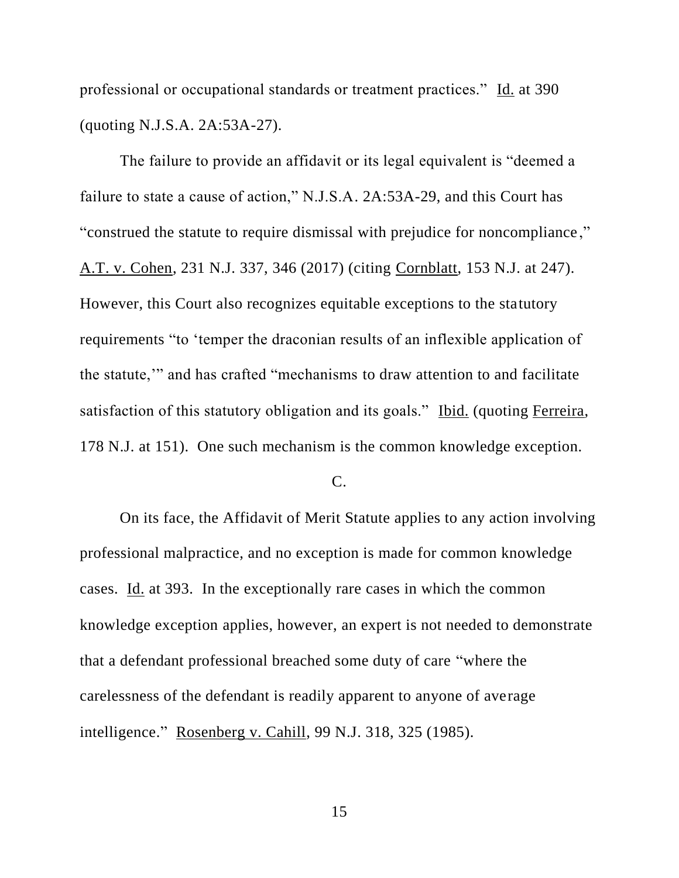professional or occupational standards or treatment practices." Id. at 390 (quoting N.J.S.A. 2A:53A-27).

The failure to provide an affidavit or its legal equivalent is "deemed a failure to state a cause of action," N.J.S.A. 2A:53A-29, and this Court has "construed the statute to require dismissal with prejudice for noncompliance ," A.T. v. Cohen, 231 N.J. 337, 346 (2017) (citing Cornblatt, 153 N.J. at 247). However, this Court also recognizes equitable exceptions to the statutory requirements "to 'temper the draconian results of an inflexible application of the statute,'" and has crafted "mechanisms to draw attention to and facilitate satisfaction of this statutory obligation and its goals." Ibid. (quoting Ferreira, 178 N.J. at 151). One such mechanism is the common knowledge exception.

C.

On its face, the Affidavit of Merit Statute applies to any action involving professional malpractice, and no exception is made for common knowledge cases. Id. at 393. In the exceptionally rare cases in which the common knowledge exception applies, however, an expert is not needed to demonstrate that a defendant professional breached some duty of care "where the carelessness of the defendant is readily apparent to anyone of average intelligence." Rosenberg v. Cahill, 99 N.J. 318, 325 (1985).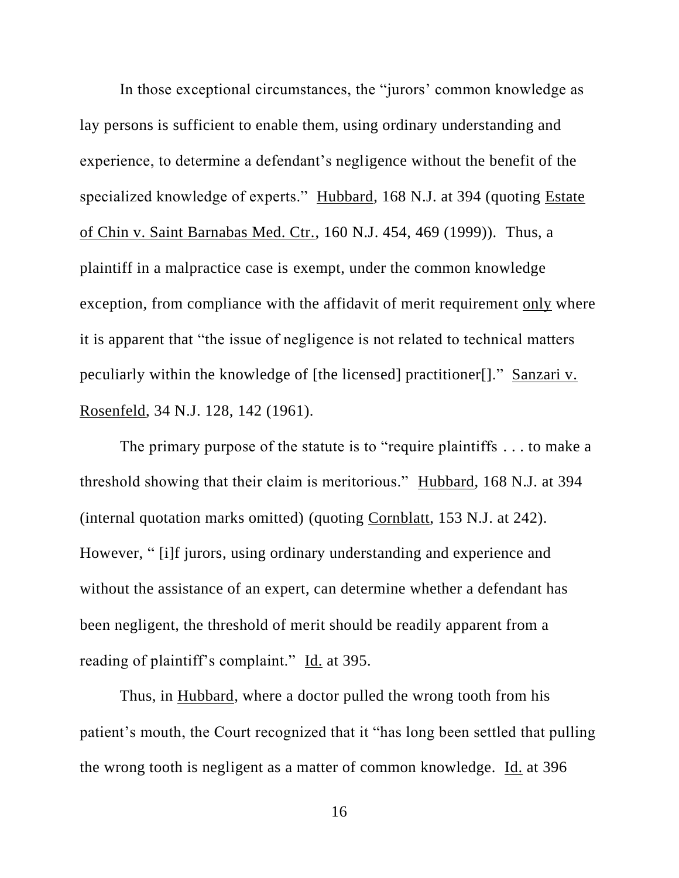In those exceptional circumstances, the "jurors' common knowledge as lay persons is sufficient to enable them, using ordinary understanding and experience, to determine a defendant's negligence without the benefit of the specialized knowledge of experts." Hubbard, 168 N.J. at 394 (quoting Estate of Chin v. Saint Barnabas Med. Ctr., 160 N.J. 454, 469 (1999)). Thus, a plaintiff in a malpractice case is exempt, under the common knowledge exception, from compliance with the affidavit of merit requirement only where it is apparent that "the issue of negligence is not related to technical matters peculiarly within the knowledge of [the licensed] practitioner[]." Sanzari v. Rosenfeld, 34 N.J. 128, 142 (1961).

The primary purpose of the statute is to "require plaintiffs . . . to make a threshold showing that their claim is meritorious." Hubbard, 168 N.J. at 394 (internal quotation marks omitted) (quoting Cornblatt, 153 N.J. at 242). However, " [i]f jurors, using ordinary understanding and experience and without the assistance of an expert, can determine whether a defendant has been negligent, the threshold of merit should be readily apparent from a reading of plaintiff's complaint." Id. at 395.

Thus, in Hubbard, where a doctor pulled the wrong tooth from his patient's mouth, the Court recognized that it "has long been settled that pulling the wrong tooth is negligent as a matter of common knowledge. Id. at 396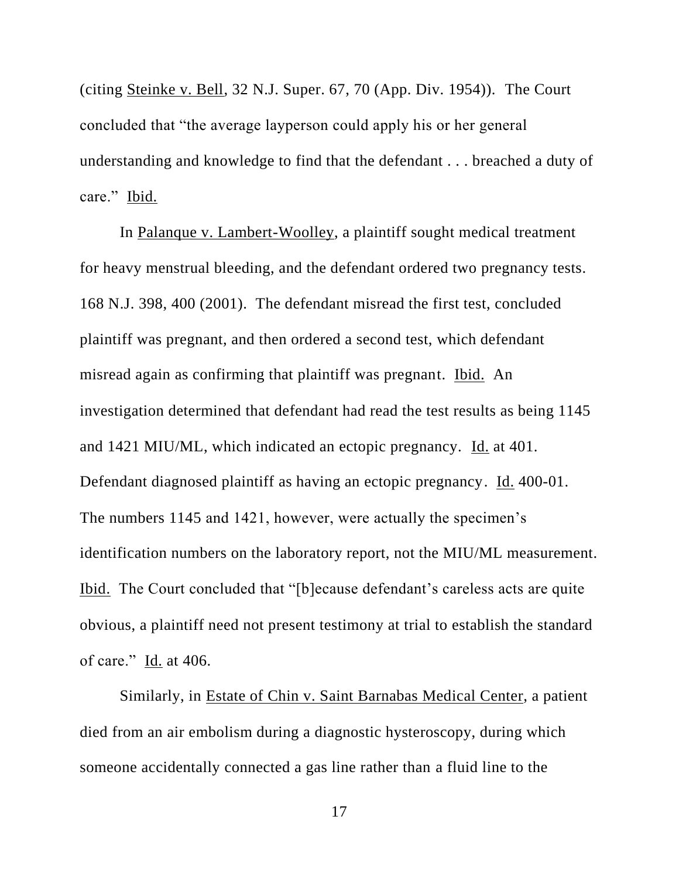(citing Steinke v. Bell, 32 N.J. Super. 67, 70 (App. Div. 1954)). The Court concluded that "the average layperson could apply his or her general understanding and knowledge to find that the defendant . . . breached a duty of care." Ibid.

In Palanque v. Lambert-Woolley, a plaintiff sought medical treatment for heavy menstrual bleeding, and the defendant ordered two pregnancy tests. 168 N.J. 398, 400 (2001). The defendant misread the first test, concluded plaintiff was pregnant, and then ordered a second test, which defendant misread again as confirming that plaintiff was pregnant. Ibid. An investigation determined that defendant had read the test results as being 1145 and 1421 MIU/ML, which indicated an ectopic pregnancy. Id. at 401. Defendant diagnosed plaintiff as having an ectopic pregnancy. Id. 400-01. The numbers 1145 and 1421, however, were actually the specimen's identification numbers on the laboratory report, not the MIU/ML measurement. Ibid. The Court concluded that "[b]ecause defendant's careless acts are quite obvious, a plaintiff need not present testimony at trial to establish the standard of care." Id. at 406.

Similarly, in Estate of Chin v. Saint Barnabas Medical Center, a patient died from an air embolism during a diagnostic hysteroscopy, during which someone accidentally connected a gas line rather than a fluid line to the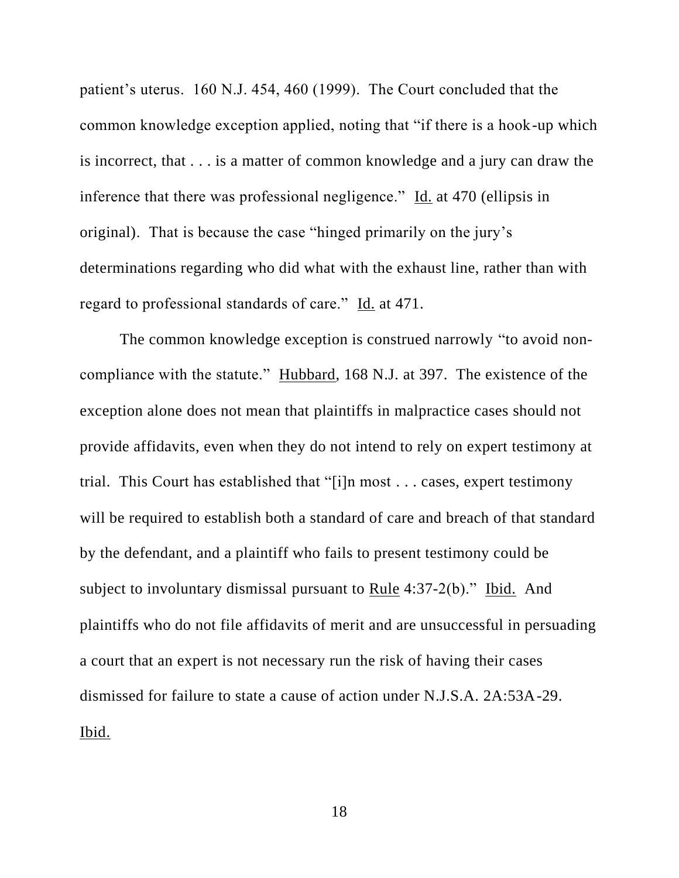patient's uterus. 160 N.J. 454, 460 (1999). The Court concluded that the common knowledge exception applied, noting that "if there is a hook-up which is incorrect, that . . . is a matter of common knowledge and a jury can draw the inference that there was professional negligence." Id. at 470 (ellipsis in original). That is because the case "hinged primarily on the jury's determinations regarding who did what with the exhaust line, rather than with regard to professional standards of care." Id. at 471.

The common knowledge exception is construed narrowly "to avoid noncompliance with the statute." Hubbard, 168 N.J. at 397. The existence of the exception alone does not mean that plaintiffs in malpractice cases should not provide affidavits, even when they do not intend to rely on expert testimony at trial. This Court has established that "[i]n most . . . cases, expert testimony will be required to establish both a standard of care and breach of that standard by the defendant, and a plaintiff who fails to present testimony could be subject to involuntary dismissal pursuant to Rule 4:37-2(b)." Ibid. And plaintiffs who do not file affidavits of merit and are unsuccessful in persuading a court that an expert is not necessary run the risk of having their cases dismissed for failure to state a cause of action under N.J.S.A. 2A:53A-29. Ibid.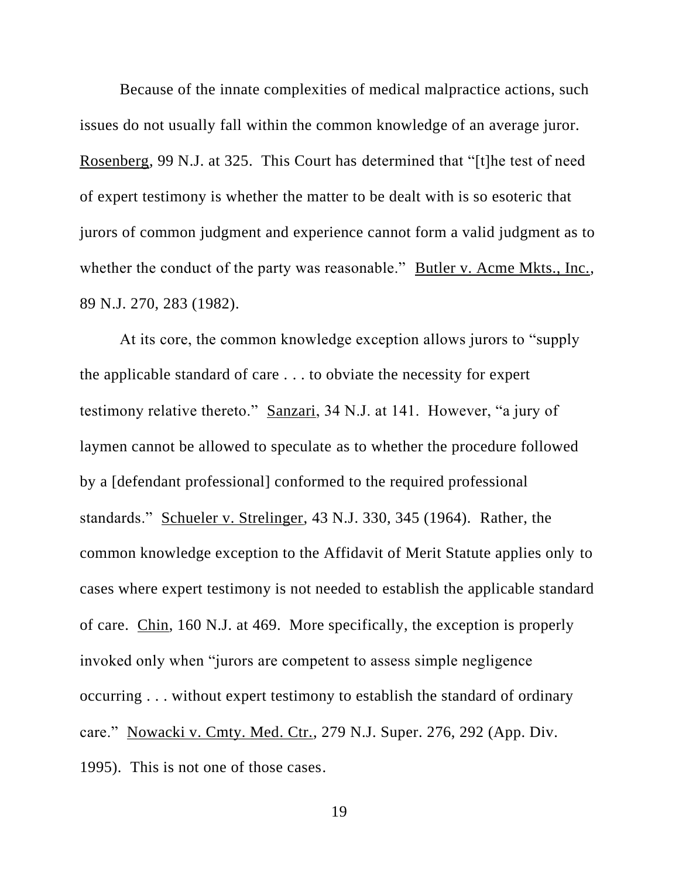Because of the innate complexities of medical malpractice actions, such issues do not usually fall within the common knowledge of an average juror. Rosenberg, 99 N.J. at 325. This Court has determined that "[t]he test of need of expert testimony is whether the matter to be dealt with is so esoteric that jurors of common judgment and experience cannot form a valid judgment as to whether the conduct of the party was reasonable." Butler v. Acme Mkts., Inc., 89 N.J. 270, 283 (1982).

At its core, the common knowledge exception allows jurors to "supply the applicable standard of care . . . to obviate the necessity for expert testimony relative thereto." Sanzari, 34 N.J. at 141. However, "a jury of laymen cannot be allowed to speculate as to whether the procedure followed by a [defendant professional] conformed to the required professional standards." Schueler v. Strelinger, 43 N.J. 330, 345 (1964). Rather, the common knowledge exception to the Affidavit of Merit Statute applies only to cases where expert testimony is not needed to establish the applicable standard of care. Chin, 160 N.J. at 469. More specifically, the exception is properly invoked only when "jurors are competent to assess simple negligence occurring . . . without expert testimony to establish the standard of ordinary care." Nowacki v. Cmty. Med. Ctr., 279 N.J. Super. 276, 292 (App. Div. 1995). This is not one of those cases.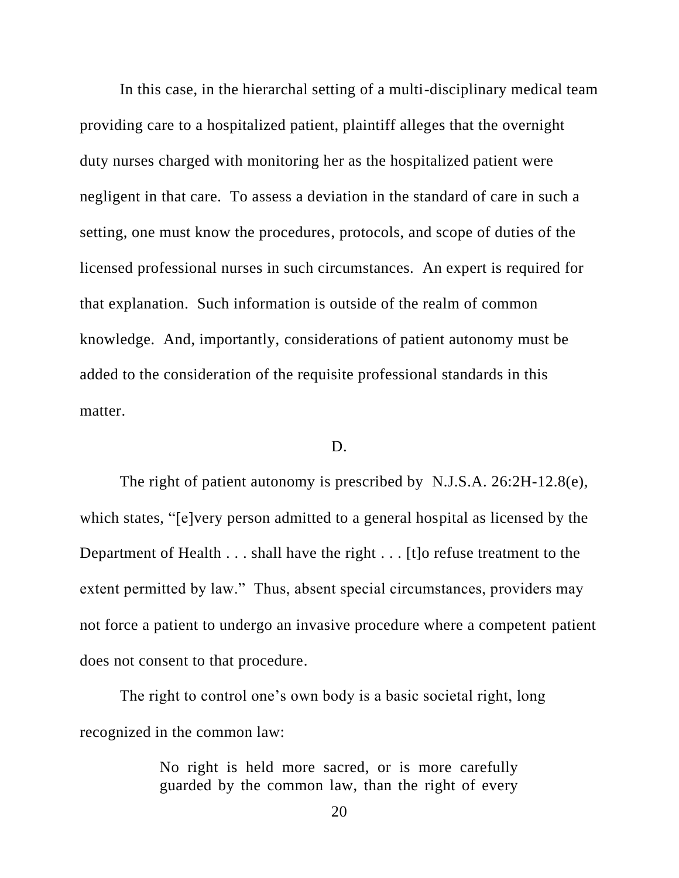In this case, in the hierarchal setting of a multi-disciplinary medical team providing care to a hospitalized patient, plaintiff alleges that the overnight duty nurses charged with monitoring her as the hospitalized patient were negligent in that care. To assess a deviation in the standard of care in such a setting, one must know the procedures, protocols, and scope of duties of the licensed professional nurses in such circumstances. An expert is required for that explanation. Such information is outside of the realm of common knowledge. And, importantly, considerations of patient autonomy must be added to the consideration of the requisite professional standards in this matter.

## D.

The right of patient autonomy is prescribed by N.J.S.A. 26:2H-12.8(e), which states, "[e]very person admitted to a general hospital as licensed by the Department of Health . . . shall have the right . . . [t]o refuse treatment to the extent permitted by law." Thus, absent special circumstances, providers may not force a patient to undergo an invasive procedure where a competent patient does not consent to that procedure.

The right to control one's own body is a basic societal right, long recognized in the common law:

> No right is held more sacred, or is more carefully guarded by the common law, than the right of every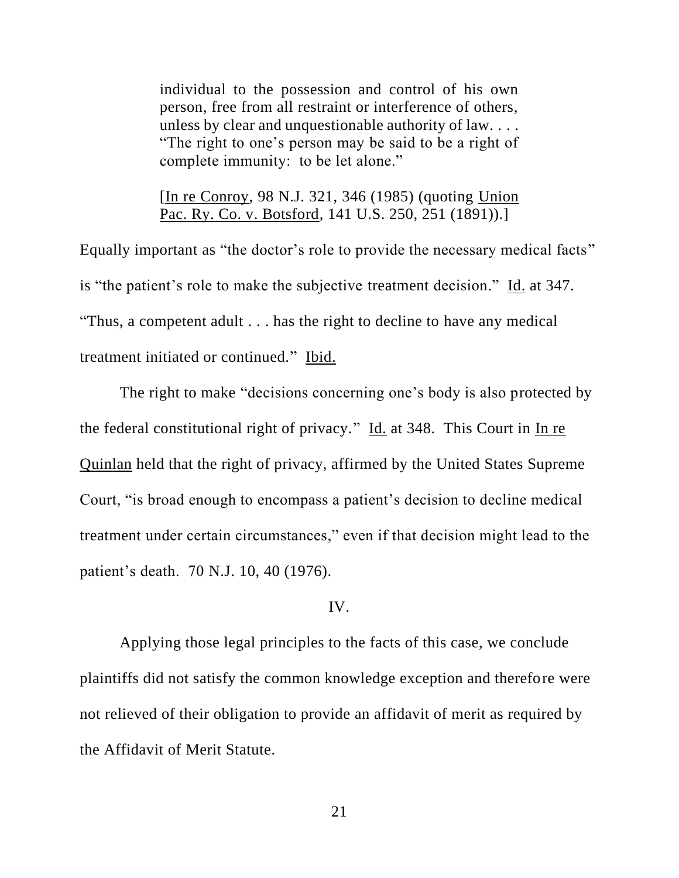individual to the possession and control of his own person, free from all restraint or interference of others, unless by clear and unquestionable authority of law. . . . "The right to one's person may be said to be a right of complete immunity: to be let alone."

[In re Conroy, 98 N.J. 321, 346 (1985) (quoting Union Pac. Ry. Co. v. Botsford, 141 U.S. 250, 251 (1891)).]

Equally important as "the doctor's role to provide the necessary medical facts" is "the patient's role to make the subjective treatment decision." Id. at 347. "Thus, a competent adult . . . has the right to decline to have any medical treatment initiated or continued." Ibid.

The right to make "decisions concerning one's body is also protected by the federal constitutional right of privacy." Id. at 348. This Court in In re Quinlan held that the right of privacy, affirmed by the United States Supreme Court, "is broad enough to encompass a patient's decision to decline medical treatment under certain circumstances," even if that decision might lead to the patient's death. 70 N.J. 10, 40 (1976).

# IV.

Applying those legal principles to the facts of this case, we conclude plaintiffs did not satisfy the common knowledge exception and therefore were not relieved of their obligation to provide an affidavit of merit as required by the Affidavit of Merit Statute.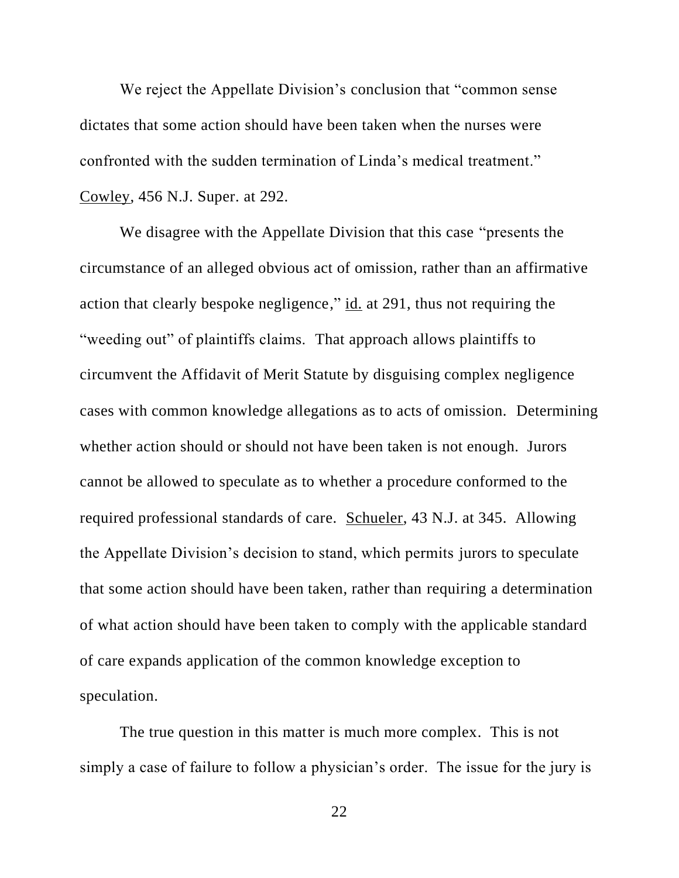We reject the Appellate Division's conclusion that "common sense dictates that some action should have been taken when the nurses were confronted with the sudden termination of Linda's medical treatment." Cowley, 456 N.J. Super. at 292.

We disagree with the Appellate Division that this case "presents the circumstance of an alleged obvious act of omission, rather than an affirmative action that clearly bespoke negligence," id. at 291, thus not requiring the "weeding out" of plaintiffs claims. That approach allows plaintiffs to circumvent the Affidavit of Merit Statute by disguising complex negligence cases with common knowledge allegations as to acts of omission. Determining whether action should or should not have been taken is not enough. Jurors cannot be allowed to speculate as to whether a procedure conformed to the required professional standards of care. Schueler, 43 N.J. at 345. Allowing the Appellate Division's decision to stand, which permits jurors to speculate that some action should have been taken, rather than requiring a determination of what action should have been taken to comply with the applicable standard of care expands application of the common knowledge exception to speculation.

The true question in this matter is much more complex. This is not simply a case of failure to follow a physician's order. The issue for the jury is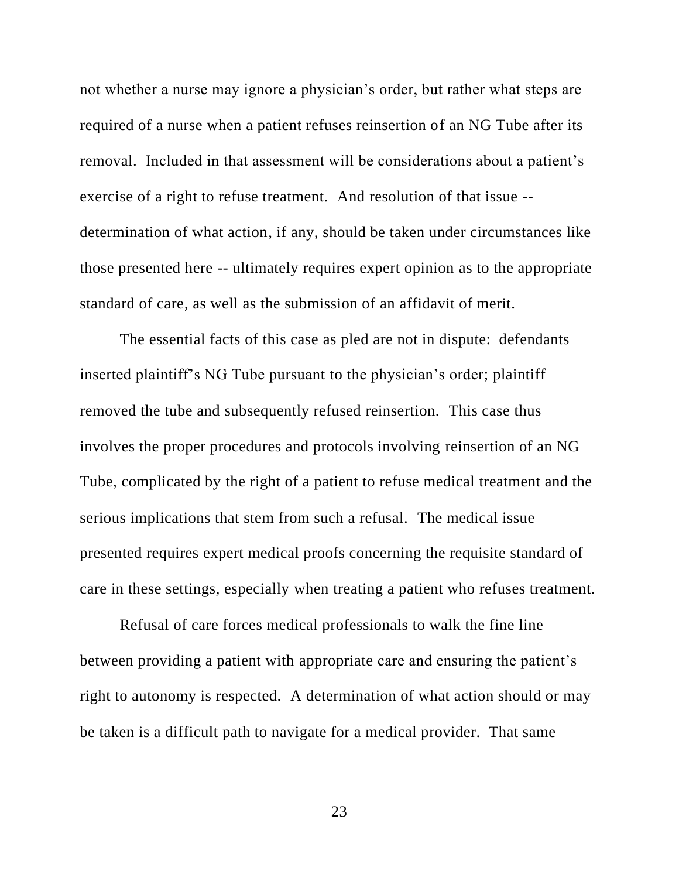not whether a nurse may ignore a physician's order, but rather what steps are required of a nurse when a patient refuses reinsertion of an NG Tube after its removal. Included in that assessment will be considerations about a patient's exercise of a right to refuse treatment. And resolution of that issue - determination of what action, if any, should be taken under circumstances like those presented here -- ultimately requires expert opinion as to the appropriate standard of care, as well as the submission of an affidavit of merit.

The essential facts of this case as pled are not in dispute: defendants inserted plaintiff's NG Tube pursuant to the physician's order; plaintiff removed the tube and subsequently refused reinsertion. This case thus involves the proper procedures and protocols involving reinsertion of an NG Tube, complicated by the right of a patient to refuse medical treatment and the serious implications that stem from such a refusal. The medical issue presented requires expert medical proofs concerning the requisite standard of care in these settings, especially when treating a patient who refuses treatment.

Refusal of care forces medical professionals to walk the fine line between providing a patient with appropriate care and ensuring the patient's right to autonomy is respected. A determination of what action should or may be taken is a difficult path to navigate for a medical provider. That same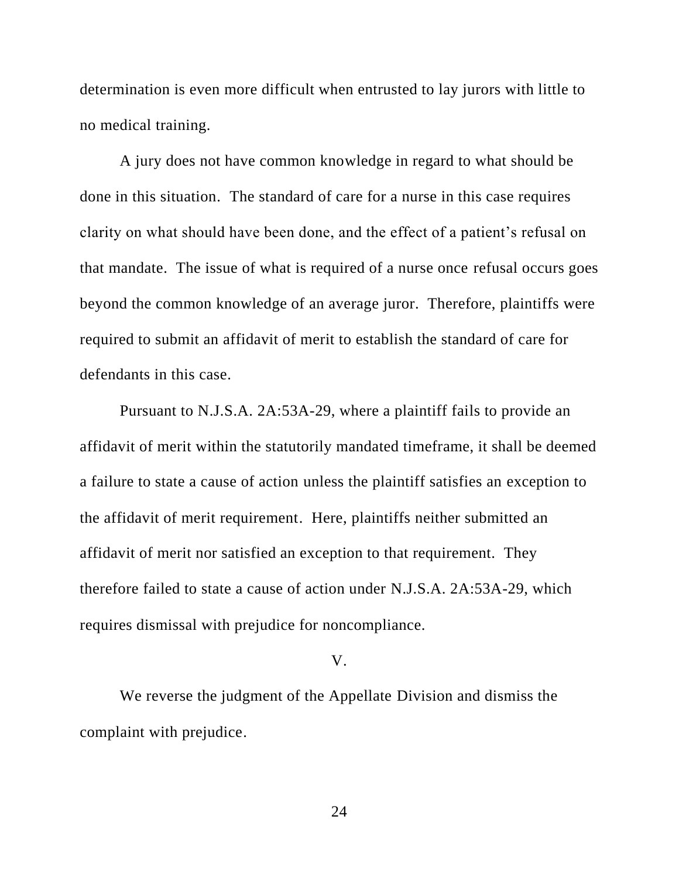determination is even more difficult when entrusted to lay jurors with little to no medical training.

A jury does not have common knowledge in regard to what should be done in this situation. The standard of care for a nurse in this case requires clarity on what should have been done, and the effect of a patient's refusal on that mandate. The issue of what is required of a nurse once refusal occurs goes beyond the common knowledge of an average juror. Therefore, plaintiffs were required to submit an affidavit of merit to establish the standard of care for defendants in this case.

Pursuant to N.J.S.A. 2A:53A-29, where a plaintiff fails to provide an affidavit of merit within the statutorily mandated timeframe, it shall be deemed a failure to state a cause of action unless the plaintiff satisfies an exception to the affidavit of merit requirement. Here, plaintiffs neither submitted an affidavit of merit nor satisfied an exception to that requirement. They therefore failed to state a cause of action under N.J.S.A. 2A:53A-29, which requires dismissal with prejudice for noncompliance.

#### V.

We reverse the judgment of the Appellate Division and dismiss the complaint with prejudice.